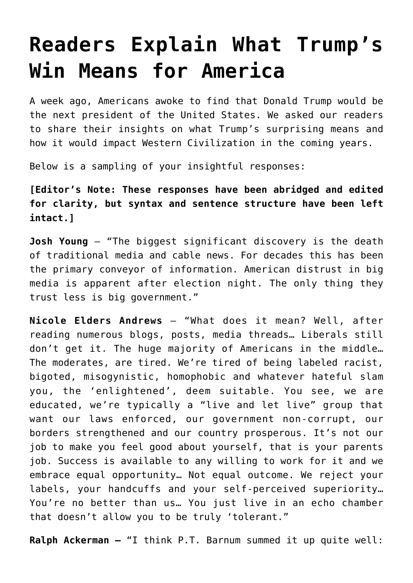## **[Readers Explain What Trump's](https://intellectualtakeout.org/2016/11/readers-explain-what-trumps-win-means-for-america/) [Win Means for America](https://intellectualtakeout.org/2016/11/readers-explain-what-trumps-win-means-for-america/)**

A week ago, Americans awoke to find that Donald Trump would be the next president of the United States. We asked our readers to share their insights on what Trump's surprising means and how it would impact Western Civilization in the coming years.

Below is a sampling of your insightful responses:

**[Editor's Note: These responses have been abridged and edited for clarity, but syntax and sentence structure have been left intact.]**

**Josh Young** – "The biggest significant discovery is the death of traditional media and cable news. For decades this has been the primary conveyor of information. American distrust in big media is apparent after election night. The only thing they trust less is big government."

**Nicole Elders Andrews** – "What does it mean? Well, after reading numerous blogs, posts, media threads… Liberals still don't get it. The huge majority of Americans in the middle… The moderates, are tired. We're tired of being labeled racist, bigoted, misogynistic, homophobic and whatever hateful slam you, the 'enlightened', deem suitable. You see, we are educated, we're typically a "live and let live" group that want our laws enforced, our government non-corrupt, our borders strengthened and our country prosperous. It's not our job to make you feel good about yourself, that is your parents job. Success is available to any willing to work for it and we embrace equal opportunity… Not equal outcome. We reject your labels, your handcuffs and your self-perceived superiority… You're no better than us… You just live in an echo chamber that doesn't allow you to be truly 'tolerant."

**Ralph Ackerman –** "I think P.T. Barnum summed it up quite well: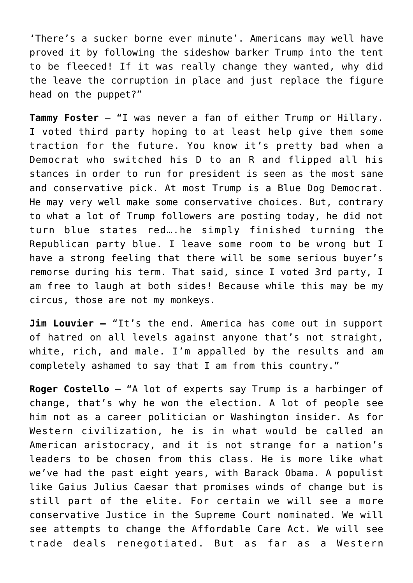'There's a sucker borne ever minute'. Americans may well have proved it by following the sideshow barker Trump into the tent to be fleeced! If it was really change they wanted, why did the leave the corruption in place and just replace the figure head on the puppet?"

**Tammy Foster** – "I was never a fan of either Trump or Hillary. I voted third party hoping to at least help give them some traction for the future. You know it's pretty bad when a Democrat who switched his D to an R and flipped all his stances in order to run for president is seen as the most sane and conservative pick. At most Trump is a Blue Dog Democrat. He may very well make some conservative choices. But, contrary to what a lot of Trump followers are posting today, he did not turn blue states red….he simply finished turning the Republican party blue. I leave some room to be wrong but I have a strong feeling that there will be some serious buyer's remorse during his term. That said, since I voted 3rd party, I am free to laugh at both sides! Because while this may be my circus, those are not my monkeys.

**Jim Louvier –** "It's the end. America has come out in support of hatred on all levels against anyone that's not straight, white, rich, and male. I'm appalled by the results and am completely ashamed to say that I am from this country."

**Roger Costello** – "A lot of experts say Trump is a harbinger of change, that's why he won the election. A lot of people see him not as a career politician or Washington insider. As for Western civilization, he is in what would be called an American aristocracy, and it is not strange for a nation's leaders to be chosen from this class. He is more like what we've had the past eight years, with Barack Obama. A populist like Gaius Julius Caesar that promises winds of change but is still part of the elite. For certain we will see a more conservative Justice in the Supreme Court nominated. We will see attempts to change the Affordable Care Act. We will see trade deals renegotiated. But as far as a Western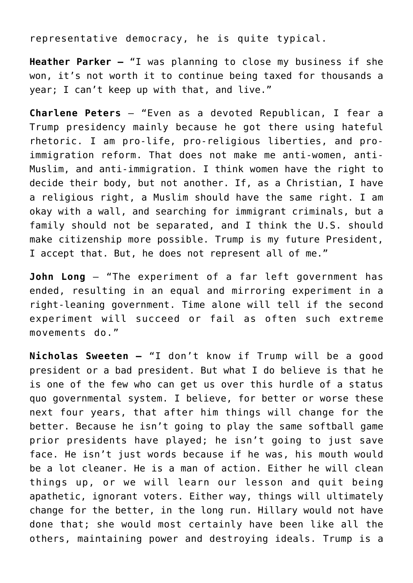representative democracy, he is quite typical.

**Heather Parker –** "I was planning to close my business if she won, it's not worth it to continue being taxed for thousands a year; I can't keep up with that, and live."

**Charlene Peters** – "Even as a devoted Republican, I fear a Trump presidency mainly because he got there using hateful rhetoric. I am pro-life, pro-religious liberties, and proimmigration reform. That does not make me anti-women, anti-Muslim, and anti-immigration. I think women have the right to decide their body, but not another. If, as a Christian, I have a religious right, a Muslim should have the same right. I am okay with a wall, and searching for immigrant criminals, but a family should not be separated, and I think the U.S. should make citizenship more possible. Trump is my future President, I accept that. But, he does not represent all of me."

**John Long** – "The experiment of a far left government has ended, resulting in an equal and mirroring experiment in a right-leaning government. Time alone will tell if the second experiment will succeed or fail as often such extreme movements do."

**Nicholas Sweeten –** "I don't know if Trump will be a good president or a bad president. But what I do believe is that he is one of the few who can get us over this hurdle of a status quo governmental system. I believe, for better or worse these next four years, that after him things will change for the better. Because he isn't going to play the same softball game prior presidents have played; he isn't going to just save face. He isn't just words because if he was, his mouth would be a lot cleaner. He is a man of action. Either he will clean things up, or we will learn our lesson and quit being apathetic, ignorant voters. Either way, things will ultimately change for the better, in the long run. Hillary would not have done that; she would most certainly have been like all the others, maintaining power and destroying ideals. Trump is a